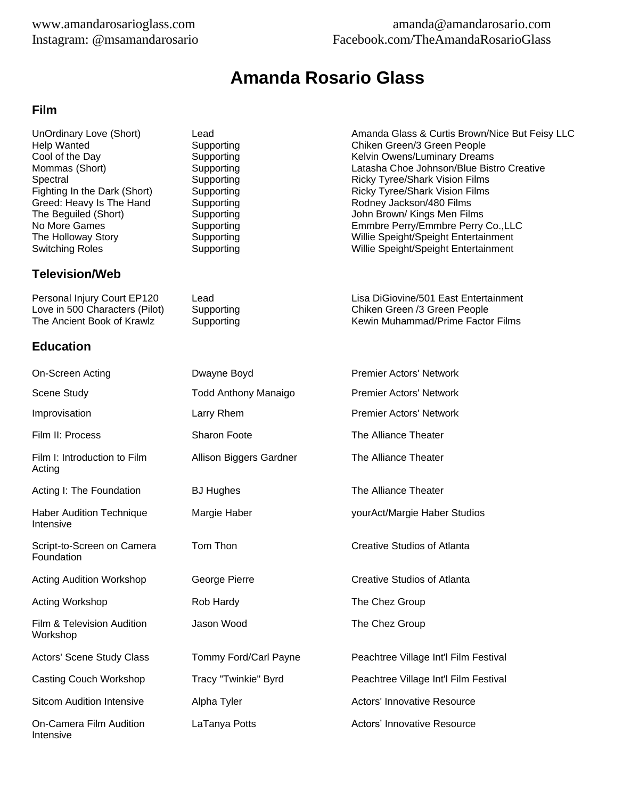### www.amandarosarioglass.com amanda@amandarosario.com Instagram: @msamandarosario Facebook.com/TheAmandaRosarioGlass

# **Amanda Rosario Glass**

#### **Film**

Greed: Heavy Is The Hand

## **Television/Web**

### **Education**

Intensive

On-Screen Acting Dwayne Boyd Premier Actors' Network Scene Study Todd Anthony Manaigo Premier Actors' Network Improvisation **Larry Rhem Larry Rhem** Premier Actors' Network Film II: Process Sharon Foote The Alliance Theater Film I: Introduction to Film Allison Biggers Gardner The Alliance Theater Acting Acting I: The Foundation **BJ Hughes** The Alliance Theater Haber Audition Technique Margie Haber yourAct/Margie Haber Studios Intensive Script-to-Screen on Camera Tom Thon Creative Studios of Atlanta Foundation Acting Audition Workshop **George Pierre** Creative Studios of Atlanta Acting Workshop **Rob Hardy** The Chez Group Film & Television Audition **State State Accord The Chez Group** The Chez Group Workshop Actors' Scene Study Class Tommy Ford/Carl Payne Peachtree Village Int'l Film Festival Casting Couch Workshop Tracy "Twinkie" Byrd Peachtree Village Int'l Film Festival Sitcom Audition Intensive Alpha Tyler Actors' Innovative Resource On-Camera Film Audition LaTanya Potts **Actors' Innovative Resource** Actors' Innovative Resource

UnOrdinary Love (Short) Lead Lead Amanda Glass & Curtis Brown/Nice But Feisy LLC<br>
Help Wanted Supporting Chiken Green/3 Green People Chiken Green/3 Green People Cool of the Day **Supporting Cool of the Day Cool of the Day** Supporting Cool of the Day Supporting Cool of the Day Mommas (Short) **Supporting Latasha Choe Johnson/Blue Bistro Creative** Latasha Choe Johnson/Blue Bistro Creative Spectral Supporting Supporting Ricky Tyree/Shark Vision Films<br>Fighting In the Dark (Short) Supporting Supporting Ricky Tyree/Shark Vision Films Supporting The Ricky Tyree/Shark Vision Films<br>
Supporting The Rodney Jackson/480 Films The Beguiled (Short) **Supporting** Supporting John Brown/ Kings Men Films<br>
No More Games Supporting Supporting Lemmbre Perry/Emmbre Perry Emmbre Perry/Emmbre Perry Co.,LLC The Holloway Story **Supporting Supporting Supporting Willie Speight/Speight Entertainment**<br>
Supporting Willie Speight/Speight Entertainment Willie Speight/Speight Entertainment

Personal Injury Court EP120 Lead Lead Lisa DiGiovine/501 East Entertainment Love in 500 Characters (Pilot) Supporting Chicago Chiken Green /3 Green People<br>
The Ancient Book of Krawlz Supporting Chicago Chicago Kewin Muhammad/Prime Facto The Ancient Book of Krawlz Supporting Supporting Kewin Muhammad/Prime Factor Films